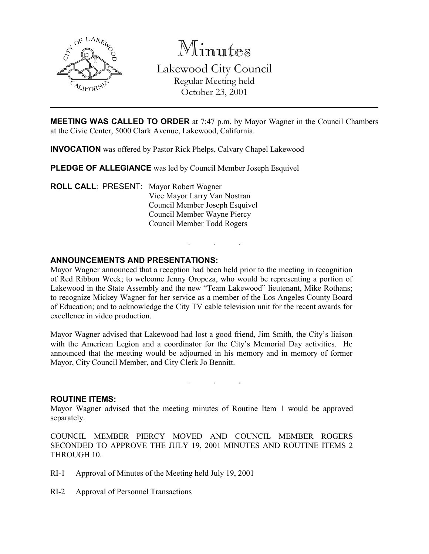

Minutes Lakewood City Council

Regular Meeting held October 23, 2001

MEETING WAS CALLED TO ORDER at 7:47 p.m. by Mayor Wagner in the Council Chambers at the Civic Center, 5000 Clark Avenue, Lakewood, California.

INVOCATION was offered by Pastor Rick Phelps, Calvary Chapel Lakewood

PLEDGE OF ALLEGIANCE was led by Council Member Joseph Esquivel

ROLL CALL: PRESENT: Mayor Robert Wagner Vice Mayor Larry Van Nostran Council Member Joseph Esquivel Council Member Wayne Piercy Council Member Todd Rogers

## ANNOUNCEMENTS AND PRESENTATIONS:

Mayor Wagner announced that a reception had been held prior to the meeting in recognition of Red Ribbon Week; to welcome Jenny Oropeza, who would be representing a portion of Lakewood in the State Assembly and the new "Team Lakewood" lieutenant, Mike Rothans; to recognize Mickey Wagner for her service as a member of the Los Angeles County Board of Education; and to acknowledge the City TV cable television unit for the recent awards for excellence in video production.

. . .

Mayor Wagner advised that Lakewood had lost a good friend, Jim Smith, the City's liaison with the American Legion and a coordinator for the City's Memorial Day activities. He announced that the meeting would be adjourned in his memory and in memory of former Mayor, City Council Member, and City Clerk Jo Bennitt.

#### ROUTINE ITEMS:

Mayor Wagner advised that the meeting minutes of Routine Item 1 would be approved separately.

. . .

COUNCIL MEMBER PIERCY MOVED AND COUNCIL MEMBER ROGERS SECONDED TO APPROVE THE JULY 19, 2001 MINUTES AND ROUTINE ITEMS 2 THROUGH 10.

- RI-1 Approval of Minutes of the Meeting held July 19, 2001
- RI-2 Approval of Personnel Transactions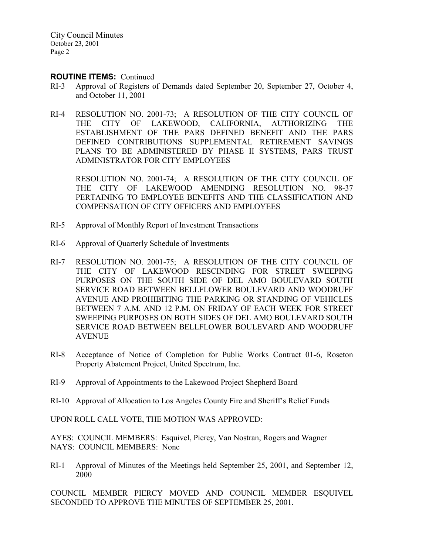#### ROUTINE ITEMS: Continued

- RI-3 Approval of Registers of Demands dated September 20, September 27, October 4, and October 11, 2001
- RI-4 RESOLUTION NO. 2001-73; A RESOLUTION OF THE CITY COUNCIL OF THE CITY OF LAKEWOOD, CALIFORNIA, AUTHORIZING THE ESTABLISHMENT OF THE PARS DEFINED BENEFIT AND THE PARS DEFINED CONTRIBUTIONS SUPPLEMENTAL RETIREMENT SAVINGS PLANS TO BE ADMINISTERED BY PHASE II SYSTEMS, PARS TRUST ADMINISTRATOR FOR CITY EMPLOYEES

RESOLUTION NO. 2001-74; A RESOLUTION OF THE CITY COUNCIL OF THE CITY OF LAKEWOOD AMENDING RESOLUTION NO. 98-37 PERTAINING TO EMPLOYEE BENEFITS AND THE CLASSIFICATION AND COMPENSATION OF CITY OFFICERS AND EMPLOYEES

- RI-5 Approval of Monthly Report of Investment Transactions
- RI-6 Approval of Quarterly Schedule of Investments
- RI-7 RESOLUTION NO. 2001-75; A RESOLUTION OF THE CITY COUNCIL OF THE CITY OF LAKEWOOD RESCINDING FOR STREET SWEEPING PURPOSES ON THE SOUTH SIDE OF DEL AMO BOULEVARD SOUTH SERVICE ROAD BETWEEN BELLFLOWER BOULEVARD AND WOODRUFF AVENUE AND PROHIBITING THE PARKING OR STANDING OF VEHICLES BETWEEN 7 A.M. AND 12 P.M. ON FRIDAY OF EACH WEEK FOR STREET SWEEPING PURPOSES ON BOTH SIDES OF DEL AMO BOULEVARD SOUTH SERVICE ROAD BETWEEN BELLFLOWER BOULEVARD AND WOODRUFF AVENUE
- RI-8 Acceptance of Notice of Completion for Public Works Contract 01-6, Roseton Property Abatement Project, United Spectrum, Inc.
- RI-9 Approval of Appointments to the Lakewood Project Shepherd Board
- RI-10 Approval of Allocation to Los Angeles County Fire and Sheriff's Relief Funds

UPON ROLL CALL VOTE, THE MOTION WAS APPROVED:

AYES: COUNCIL MEMBERS: Esquivel, Piercy, Van Nostran, Rogers and Wagner NAYS: COUNCIL MEMBERS: None

RI-1 Approval of Minutes of the Meetings held September 25, 2001, and September 12, 2000

COUNCIL MEMBER PIERCY MOVED AND COUNCIL MEMBER ESQUIVEL SECONDED TO APPROVE THE MINUTES OF SEPTEMBER 25, 2001.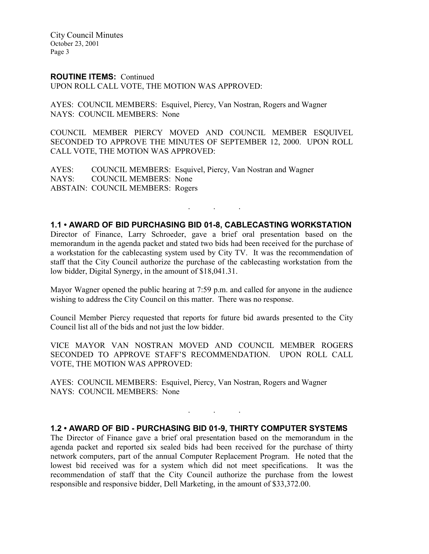#### ROUTINE ITEMS: Continued

UPON ROLL CALL VOTE, THE MOTION WAS APPROVED:

AYES: COUNCIL MEMBERS: Esquivel, Piercy, Van Nostran, Rogers and Wagner NAYS: COUNCIL MEMBERS: None

COUNCIL MEMBER PIERCY MOVED AND COUNCIL MEMBER ESQUIVEL SECONDED TO APPROVE THE MINUTES OF SEPTEMBER 12, 2000. UPON ROLL CALL VOTE, THE MOTION WAS APPROVED:

AYES: COUNCIL MEMBERS: Esquivel, Piercy, Van Nostran and Wagner NAYS: COUNCIL MEMBERS: None ABSTAIN: COUNCIL MEMBERS: Rogers

#### 1.1 • AWARD OF BID PURCHASING BID 01-8, CABLECASTING WORKSTATION

. . .

Director of Finance, Larry Schroeder, gave a brief oral presentation based on the memorandum in the agenda packet and stated two bids had been received for the purchase of a workstation for the cablecasting system used by City TV. It was the recommendation of staff that the City Council authorize the purchase of the cablecasting workstation from the low bidder, Digital Synergy, in the amount of \$18,041.31.

Mayor Wagner opened the public hearing at 7:59 p.m. and called for anyone in the audience wishing to address the City Council on this matter. There was no response.

Council Member Piercy requested that reports for future bid awards presented to the City Council list all of the bids and not just the low bidder.

VICE MAYOR VAN NOSTRAN MOVED AND COUNCIL MEMBER ROGERS SECONDED TO APPROVE STAFF'S RECOMMENDATION. UPON ROLL CALL VOTE, THE MOTION WAS APPROVED:

AYES: COUNCIL MEMBERS: Esquivel, Piercy, Van Nostran, Rogers and Wagner NAYS: COUNCIL MEMBERS: None

#### 1.2 • AWARD OF BID - PURCHASING BID 01-9, THIRTY COMPUTER SYSTEMS

. . .

The Director of Finance gave a brief oral presentation based on the memorandum in the agenda packet and reported six sealed bids had been received for the purchase of thirty network computers, part of the annual Computer Replacement Program. He noted that the lowest bid received was for a system which did not meet specifications. It was the recommendation of staff that the City Council authorize the purchase from the lowest responsible and responsive bidder, Dell Marketing, in the amount of \$33,372.00.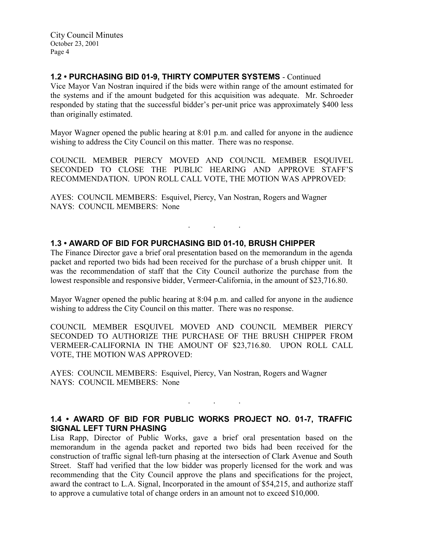## 1.2 • PURCHASING BID 01-9, THIRTY COMPUTER SYSTEMS - Continued

Vice Mayor Van Nostran inquired if the bids were within range of the amount estimated for the systems and if the amount budgeted for this acquisition was adequate. Mr. Schroeder responded by stating that the successful bidder's per-unit price was approximately \$400 less than originally estimated.

Mayor Wagner opened the public hearing at 8:01 p.m. and called for anyone in the audience wishing to address the City Council on this matter. There was no response.

COUNCIL MEMBER PIERCY MOVED AND COUNCIL MEMBER ESQUIVEL SECONDED TO CLOSE THE PUBLIC HEARING AND APPROVE STAFF'S RECOMMENDATION. UPON ROLL CALL VOTE, THE MOTION WAS APPROVED:

AYES: COUNCIL MEMBERS: Esquivel, Piercy, Van Nostran, Rogers and Wagner NAYS: COUNCIL MEMBERS: None

## 1.3 • AWARD OF BID FOR PURCHASING BID 01-10, BRUSH CHIPPER

The Finance Director gave a brief oral presentation based on the memorandum in the agenda packet and reported two bids had been received for the purchase of a brush chipper unit. It was the recommendation of staff that the City Council authorize the purchase from the lowest responsible and responsive bidder, Vermeer-California, in the amount of \$23,716.80.

. . .

Mayor Wagner opened the public hearing at 8:04 p.m. and called for anyone in the audience wishing to address the City Council on this matter. There was no response.

COUNCIL MEMBER ESQUIVEL MOVED AND COUNCIL MEMBER PIERCY SECONDED TO AUTHORIZE THE PURCHASE OF THE BRUSH CHIPPER FROM VERMEER-CALIFORNIA IN THE AMOUNT OF \$23,716.80. UPON ROLL CALL VOTE, THE MOTION WAS APPROVED:

AYES: COUNCIL MEMBERS: Esquivel, Piercy, Van Nostran, Rogers and Wagner NAYS: COUNCIL MEMBERS: None

# 1.4 • AWARD OF BID FOR PUBLIC WORKS PROJECT NO. 01-7, TRAFFIC SIGNAL LEFT TURN PHASING

. . .

Lisa Rapp, Director of Public Works, gave a brief oral presentation based on the memorandum in the agenda packet and reported two bids had been received for the construction of traffic signal left-turn phasing at the intersection of Clark Avenue and South Street. Staff had verified that the low bidder was properly licensed for the work and was recommending that the City Council approve the plans and specifications for the project, award the contract to L.A. Signal, Incorporated in the amount of \$54,215, and authorize staff to approve a cumulative total of change orders in an amount not to exceed \$10,000.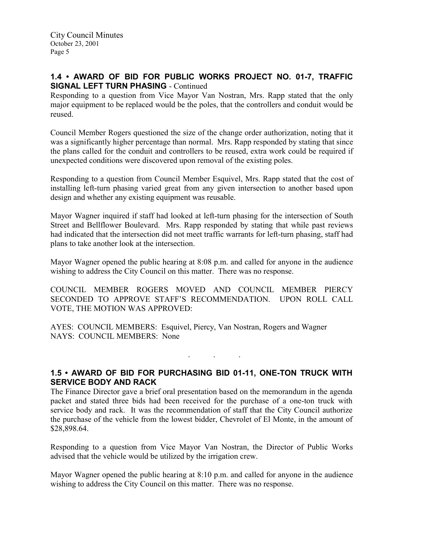## 1.4 • AWARD OF BID FOR PUBLIC WORKS PROJECT NO. 01-7, TRAFFIC SIGNAL LEFT TURN PHASING - Continued

Responding to a question from Vice Mayor Van Nostran, Mrs. Rapp stated that the only major equipment to be replaced would be the poles, that the controllers and conduit would be reused.

Council Member Rogers questioned the size of the change order authorization, noting that it was a significantly higher percentage than normal. Mrs. Rapp responded by stating that since the plans called for the conduit and controllers to be reused, extra work could be required if unexpected conditions were discovered upon removal of the existing poles.

Responding to a question from Council Member Esquivel, Mrs. Rapp stated that the cost of installing left-turn phasing varied great from any given intersection to another based upon design and whether any existing equipment was reusable.

Mayor Wagner inquired if staff had looked at left-turn phasing for the intersection of South Street and Bellflower Boulevard. Mrs. Rapp responded by stating that while past reviews had indicated that the intersection did not meet traffic warrants for left-turn phasing, staff had plans to take another look at the intersection.

Mayor Wagner opened the public hearing at 8:08 p.m. and called for anyone in the audience wishing to address the City Council on this matter. There was no response.

COUNCIL MEMBER ROGERS MOVED AND COUNCIL MEMBER PIERCY SECONDED TO APPROVE STAFF'S RECOMMENDATION. UPON ROLL CALL VOTE, THE MOTION WAS APPROVED:

AYES: COUNCIL MEMBERS: Esquivel, Piercy, Van Nostran, Rogers and Wagner NAYS: COUNCIL MEMBERS: None

1.5 • AWARD OF BID FOR PURCHASING BID 01-11, ONE-TON TRUCK WITH SERVICE BODY AND RACK

. . .

The Finance Director gave a brief oral presentation based on the memorandum in the agenda packet and stated three bids had been received for the purchase of a one-ton truck with service body and rack. It was the recommendation of staff that the City Council authorize the purchase of the vehicle from the lowest bidder, Chevrolet of El Monte, in the amount of \$28,898.64.

Responding to a question from Vice Mayor Van Nostran, the Director of Public Works advised that the vehicle would be utilized by the irrigation crew.

Mayor Wagner opened the public hearing at 8:10 p.m. and called for anyone in the audience wishing to address the City Council on this matter. There was no response.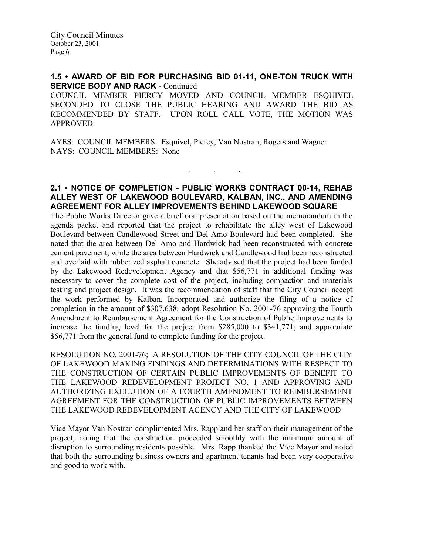### 1.5 • AWARD OF BID FOR PURCHASING BID 01-11, ONE-TON TRUCK WITH SERVICE BODY AND RACK - Continued

COUNCIL MEMBER PIERCY MOVED AND COUNCIL MEMBER ESQUIVEL SECONDED TO CLOSE THE PUBLIC HEARING AND AWARD THE BID AS RECOMMENDED BY STAFF. UPON ROLL CALL VOTE, THE MOTION WAS APPROVED:

AYES: COUNCIL MEMBERS: Esquivel, Piercy, Van Nostran, Rogers and Wagner NAYS: COUNCIL MEMBERS: None

## 2.1 • NOTICE OF COMPLETION - PUBLIC WORKS CONTRACT 00-14, REHAB ALLEY WEST OF LAKEWOOD BOULEVARD, KALBAN, INC., AND AMENDING AGREEMENT FOR ALLEY IMPROVEMENTS BEHIND LAKEWOOD SQUARE

. . .

The Public Works Director gave a brief oral presentation based on the memorandum in the agenda packet and reported that the project to rehabilitate the alley west of Lakewood Boulevard between Candlewood Street and Del Amo Boulevard had been completed. She noted that the area between Del Amo and Hardwick had been reconstructed with concrete cement pavement, while the area between Hardwick and Candlewood had been reconstructed and overlaid with rubberized asphalt concrete. She advised that the project had been funded by the Lakewood Redevelopment Agency and that \$56,771 in additional funding was necessary to cover the complete cost of the project, including compaction and materials testing and project design. It was the recommendation of staff that the City Council accept the work performed by Kalban, Incorporated and authorize the filing of a notice of completion in the amount of \$307,638; adopt Resolution No. 2001-76 approving the Fourth Amendment to Reimbursement Agreement for the Construction of Public Improvements to increase the funding level for the project from \$285,000 to \$341,771; and appropriate \$56,771 from the general fund to complete funding for the project.

RESOLUTION NO. 2001-76; A RESOLUTION OF THE CITY COUNCIL OF THE CITY OF LAKEWOOD MAKING FINDINGS AND DETERMINATIONS WITH RESPECT TO THE CONSTRUCTION OF CERTAIN PUBLIC IMPROVEMENTS OF BENEFIT TO THE LAKEWOOD REDEVELOPMENT PROJECT NO. 1 AND APPROVING AND AUTHORIZING EXECUTION OF A FOURTH AMENDMENT TO REIMBURSEMENT AGREEMENT FOR THE CONSTRUCTION OF PUBLIC IMPROVEMENTS BETWEEN THE LAKEWOOD REDEVELOPMENT AGENCY AND THE CITY OF LAKEWOOD

Vice Mayor Van Nostran complimented Mrs. Rapp and her staff on their management of the project, noting that the construction proceeded smoothly with the minimum amount of disruption to surrounding residents possible. Mrs. Rapp thanked the Vice Mayor and noted that both the surrounding business owners and apartment tenants had been very cooperative and good to work with.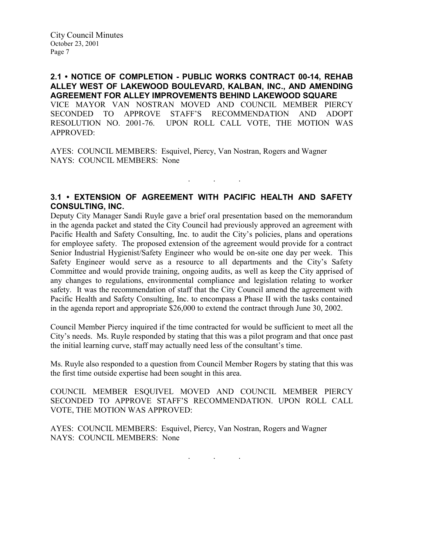## 2.1 • NOTICE OF COMPLETION - PUBLIC WORKS CONTRACT 00-14, REHAB ALLEY WEST OF LAKEWOOD BOULEVARD, KALBAN, INC., AND AMENDING AGREEMENT FOR ALLEY IMPROVEMENTS BEHIND LAKEWOOD SQUARE

VICE MAYOR VAN NOSTRAN MOVED AND COUNCIL MEMBER PIERCY SECONDED TO APPROVE STAFF'S RECOMMENDATION AND ADOPT RESOLUTION NO. 2001-76. UPON ROLL CALL VOTE, THE MOTION WAS APPROVED:

AYES: COUNCIL MEMBERS: Esquivel, Piercy, Van Nostran, Rogers and Wagner NAYS: COUNCIL MEMBERS: None

## 3.1 • EXTENSION OF AGREEMENT WITH PACIFIC HEALTH AND SAFETY CONSULTING, INC.

 $\mathbf{r}$  .  $\mathbf{r}$  ,  $\mathbf{r}$  ,  $\mathbf{r}$  ,  $\mathbf{r}$  ,  $\mathbf{r}$  ,  $\mathbf{r}$ 

Deputy City Manager Sandi Ruyle gave a brief oral presentation based on the memorandum in the agenda packet and stated the City Council had previously approved an agreement with Pacific Health and Safety Consulting, Inc. to audit the City's policies, plans and operations for employee safety. The proposed extension of the agreement would provide for a contract Senior Industrial Hygienist/Safety Engineer who would be on-site one day per week. This Safety Engineer would serve as a resource to all departments and the City's Safety Committee and would provide training, ongoing audits, as well as keep the City apprised of any changes to regulations, environmental compliance and legislation relating to worker safety. It was the recommendation of staff that the City Council amend the agreement with Pacific Health and Safety Consulting, Inc. to encompass a Phase II with the tasks contained in the agenda report and appropriate \$26,000 to extend the contract through June 30, 2002.

Council Member Piercy inquired if the time contracted for would be sufficient to meet all the City's needs. Ms. Ruyle responded by stating that this was a pilot program and that once past the initial learning curve, staff may actually need less of the consultant's time.

Ms. Ruyle also responded to a question from Council Member Rogers by stating that this was the first time outside expertise had been sought in this area.

COUNCIL MEMBER ESQUIVEL MOVED AND COUNCIL MEMBER PIERCY SECONDED TO APPROVE STAFF'S RECOMMENDATION. UPON ROLL CALL VOTE, THE MOTION WAS APPROVED:

AYES: COUNCIL MEMBERS: Esquivel, Piercy, Van Nostran, Rogers and Wagner NAYS: COUNCIL MEMBERS: None

. . .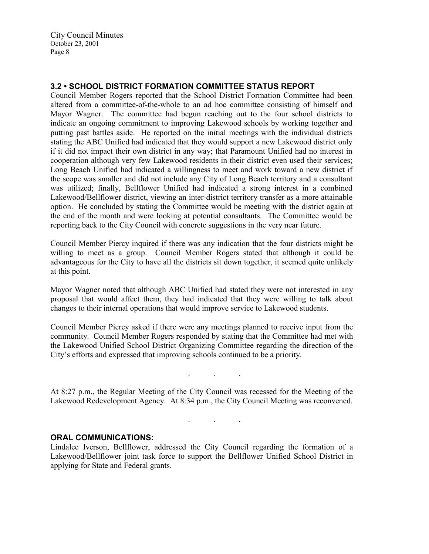## 3.2 • SCHOOL DISTRICT FORMATION COMMITTEE STATUS REPORT

Council Member Rogers reported that the School District Formation Committee had been altered from a committee-of-the-whole to an ad hoc committee consisting of himself and Mayor Wagner. The committee had begun reaching out to the four school districts to indicate an ongoing commitment to improving Lakewood schools by working together and putting past battles aside. He reported on the initial meetings with the individual districts stating the ABC Unified had indicated that they would support a new Lakewood district only if it did not impact their own district in any way; that Paramount Unified had no interest in cooperation although very few Lakewood residents in their district even used their services; Long Beach Unified had indicated a willingness to meet and work toward a new district if the scope was smaller and did not include any City of Long Beach territory and a consultant was utilized; finally, Bellflower Unified had indicated a strong interest in a combined Lakewood/Bellflower district, viewing an inter-district territory transfer as a more attainable option. He concluded by stating the Committee would be meeting with the district again at the end of the month and were looking at potential consultants. The Committee would be reporting back to the City Council with concrete suggestions in the very near future.

Council Member Piercy inquired if there was any indication that the four districts might be willing to meet as a group. Council Member Rogers stated that although it could be advantageous for the City to have all the districts sit down together, it seemed quite unlikely at this point.

Mayor Wagner noted that although ABC Unified had stated they were not interested in any proposal that would affect them, they had indicated that they were willing to talk about changes to their internal operations that would improve service to Lakewood students.

Council Member Piercy asked if there were any meetings planned to receive input from the community. Council Member Rogers responded by stating that the Committee had met with the Lakewood Unified School District Organizing Committee regarding the direction of the City's efforts and expressed that improving schools continued to be a priority.

At 8:27 p.m., the Regular Meeting of the City Council was recessed for the Meeting of the Lakewood Redevelopment Agency. At 8:34 p.m., the City Council Meeting was reconvened.

. . .

. . .

#### ORAL COMMUNICATIONS:

Lindalee Iverson, Bellflower, addressed the City Council regarding the formation of a Lakewood/Bellflower joint task force to support the Bellflower Unified School District in applying for State and Federal grants.